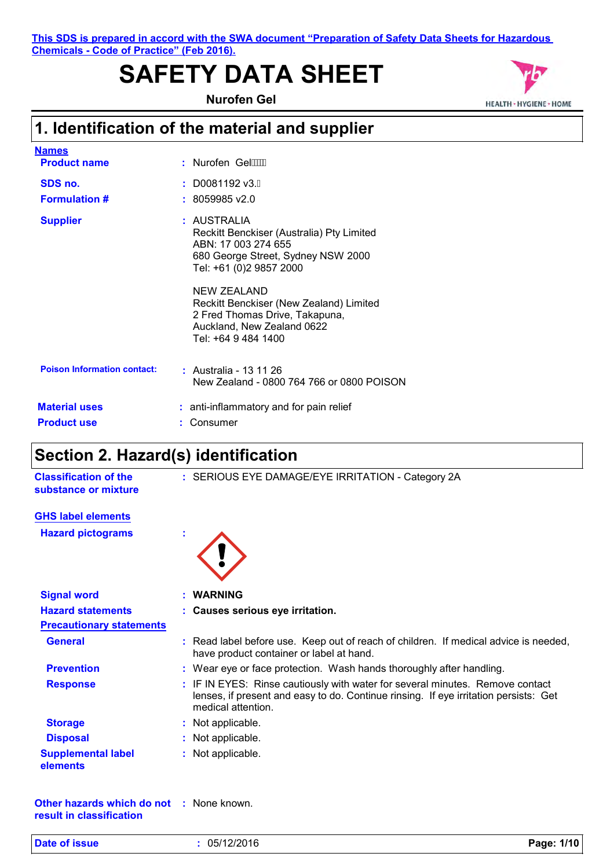#### **This SDS is prepared in accord with the SWA document "Preparation of Safety Data Sheets for Hazardous Chemicals - Code of Practice" (Feb 2016).**

# **SAFETY DATA SHEET**

**Nurofen Gel**



### **1. Identification of the material and supplier**

| <b>Names</b>                               |                                                                                                                                                  |
|--------------------------------------------|--------------------------------------------------------------------------------------------------------------------------------------------------|
| <b>Product name</b>                        | : Nurofen Gel $\cancel{WW}$                                                                                                                      |
| SDS no.                                    | $: $ D0081192 v3.G                                                                                                                               |
| <b>Formulation #</b>                       | $: 8059985$ v2.0                                                                                                                                 |
| <b>Supplier</b>                            | : AUSTRALIA<br>Reckitt Benckiser (Australia) Pty Limited<br>ABN: 17 003 274 655<br>680 George Street, Sydney NSW 2000<br>Tel: +61 (0)2 9857 2000 |
|                                            | NEW ZEALAND<br>Reckitt Benckiser (New Zealand) Limited<br>2 Fred Thomas Drive, Takapuna,<br>Auckland, New Zealand 0622<br>Tel: +64 9 484 1400    |
| <b>Poison Information contact:</b>         | : Australia - 13 11 26<br>New Zealand - 0800 764 766 or 0800 POISON                                                                              |
| <b>Material uses</b><br><b>Product use</b> | : anti-inflammatory and for pain relief<br>Consumer                                                                                              |
|                                            |                                                                                                                                                  |

### **Section 2. Hazard(s) identification**

| <b>Classification of the</b><br>substance or mixture | : SERIOUS EYE DAMAGE/EYE IRRITATION - Category 2A                                                                                                                                           |
|------------------------------------------------------|---------------------------------------------------------------------------------------------------------------------------------------------------------------------------------------------|
| <b>GHS label elements</b>                            |                                                                                                                                                                                             |
| <b>Hazard pictograms</b>                             |                                                                                                                                                                                             |
| <b>Signal word</b>                                   | : WARNING                                                                                                                                                                                   |
| <b>Hazard statements</b>                             | : Causes serious eye irritation.                                                                                                                                                            |
| <b>Precautionary statements</b>                      |                                                                                                                                                                                             |
| <b>General</b>                                       | : Read label before use. Keep out of reach of children. If medical advice is needed,<br>have product container or label at hand.                                                            |
| <b>Prevention</b>                                    | : Wear eye or face protection. Wash hands thoroughly after handling.                                                                                                                        |
| <b>Response</b>                                      | : IF IN EYES: Rinse cautiously with water for several minutes. Remove contact<br>lenses, if present and easy to do. Continue rinsing. If eye irritation persists: Get<br>medical attention. |
| <b>Storage</b>                                       | : Not applicable.                                                                                                                                                                           |
| <b>Disposal</b>                                      | : Not applicable.                                                                                                                                                                           |
| <b>Supplemental label</b><br>elements                | : Not applicable.                                                                                                                                                                           |
| <b>Other hazards which do not : None known.</b>      |                                                                                                                                                                                             |

**result in classification**

|  | <b>Date of issue</b> |  |
|--|----------------------|--|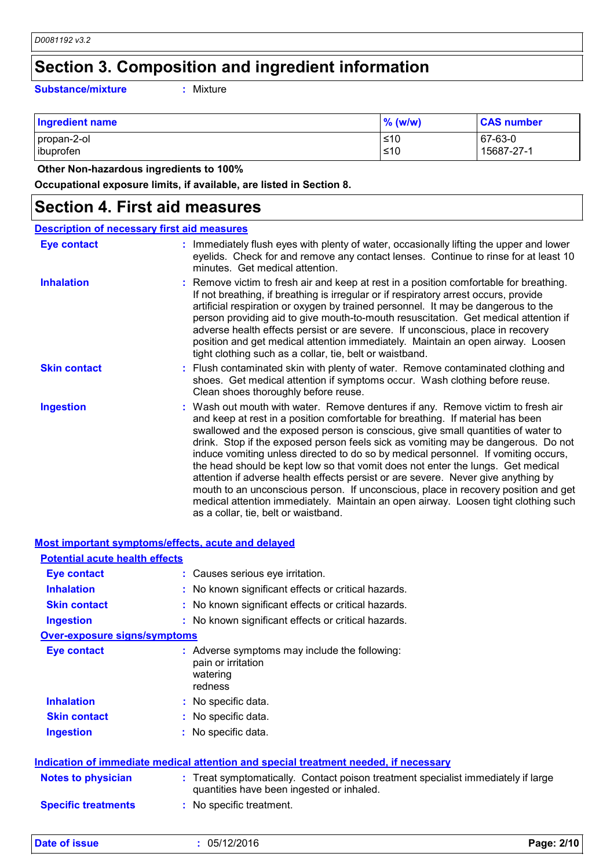### **Section 3. Composition and ingredient information**

**Substance/mixture :**

: Mixture

| <b>Ingredient name</b>   | $\%$ (w/w)   | <b>CAS number</b>     |
|--------------------------|--------------|-----------------------|
| propan-2-ol<br>ibuprofen | $≤10$<br>≤10 | 67-63-0<br>15687-27-1 |
|                          |              |                       |

 **Other Non-hazardous ingredients to 100%**

**Occupational exposure limits, if available, are listed in Section 8.**

### **Section 4. First aid measures**

|                     | <b>Description of necessary first aid measures</b>                                                                                                                                                                                                                                                                                                                                                                                                                                                                                                                                                                                                                                                                                                                                                                           |
|---------------------|------------------------------------------------------------------------------------------------------------------------------------------------------------------------------------------------------------------------------------------------------------------------------------------------------------------------------------------------------------------------------------------------------------------------------------------------------------------------------------------------------------------------------------------------------------------------------------------------------------------------------------------------------------------------------------------------------------------------------------------------------------------------------------------------------------------------------|
| <b>Eye contact</b>  | : Immediately flush eyes with plenty of water, occasionally lifting the upper and lower<br>eyelids. Check for and remove any contact lenses. Continue to rinse for at least 10<br>minutes. Get medical attention.                                                                                                                                                                                                                                                                                                                                                                                                                                                                                                                                                                                                            |
| <b>Inhalation</b>   | : Remove victim to fresh air and keep at rest in a position comfortable for breathing.<br>If not breathing, if breathing is irregular or if respiratory arrest occurs, provide<br>artificial respiration or oxygen by trained personnel. It may be dangerous to the<br>person providing aid to give mouth-to-mouth resuscitation. Get medical attention if<br>adverse health effects persist or are severe. If unconscious, place in recovery<br>position and get medical attention immediately. Maintain an open airway. Loosen<br>tight clothing such as a collar, tie, belt or waistband.                                                                                                                                                                                                                                 |
| <b>Skin contact</b> | : Flush contaminated skin with plenty of water. Remove contaminated clothing and<br>shoes. Get medical attention if symptoms occur. Wash clothing before reuse.<br>Clean shoes thoroughly before reuse.                                                                                                                                                                                                                                                                                                                                                                                                                                                                                                                                                                                                                      |
| <b>Ingestion</b>    | : Wash out mouth with water. Remove dentures if any. Remove victim to fresh air<br>and keep at rest in a position comfortable for breathing. If material has been<br>swallowed and the exposed person is conscious, give small quantities of water to<br>drink. Stop if the exposed person feels sick as vomiting may be dangerous. Do not<br>induce vomiting unless directed to do so by medical personnel. If vomiting occurs,<br>the head should be kept low so that vomit does not enter the lungs. Get medical<br>attention if adverse health effects persist or are severe. Never give anything by<br>mouth to an unconscious person. If unconscious, place in recovery position and get<br>medical attention immediately. Maintain an open airway. Loosen tight clothing such<br>as a collar, tie, belt or waistband. |

| <b>Most important symptoms/effects, acute and delayed</b> |                                                                                                                                |
|-----------------------------------------------------------|--------------------------------------------------------------------------------------------------------------------------------|
| <b>Potential acute health effects</b>                     |                                                                                                                                |
| <b>Eye contact</b>                                        | : Causes serious eye irritation.                                                                                               |
| <b>Inhalation</b>                                         | : No known significant effects or critical hazards.                                                                            |
| <b>Skin contact</b>                                       | : No known significant effects or critical hazards.                                                                            |
| <b>Ingestion</b>                                          | : No known significant effects or critical hazards.                                                                            |
| <b>Over-exposure signs/symptoms</b>                       |                                                                                                                                |
| <b>Eye contact</b>                                        | : Adverse symptoms may include the following:<br>pain or irritation<br>watering<br>redness                                     |
| <b>Inhalation</b>                                         | : No specific data.                                                                                                            |
| <b>Skin contact</b>                                       | : No specific data.                                                                                                            |
| <b>Ingestion</b>                                          | No specific data.                                                                                                              |
|                                                           | Indication of immediate medical attention and special treatment needed, if necessary                                           |
| <b>Notes to physician</b>                                 | : Treat symptomatically. Contact poison treatment specialist immediately if large<br>quantities have been ingested or inhaled. |
| <b>Specific treatments</b>                                | : No specific treatment.                                                                                                       |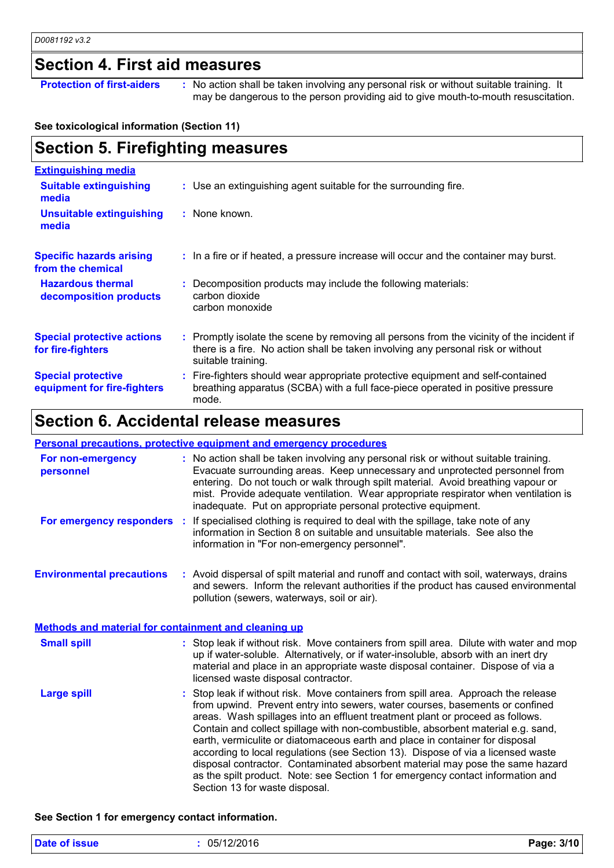### **Section 4. First aid measures**

**Protection of first-aiders** : No action shall be taken involving any personal risk or without suitable training. It may be dangerous to the person providing aid to give mouth-to-mouth resuscitation.

#### **See toxicological information (Section 11)**

| <b>Section 5. Firefighting measures</b>                  |                                                                                                                                                                                                     |  |  |
|----------------------------------------------------------|-----------------------------------------------------------------------------------------------------------------------------------------------------------------------------------------------------|--|--|
| <b>Extinguishing media</b>                               |                                                                                                                                                                                                     |  |  |
| <b>Suitable extinguishing</b><br>media                   | : Use an extinguishing agent suitable for the surrounding fire.                                                                                                                                     |  |  |
| <b>Unsuitable extinguishing</b><br>media                 | : None known.                                                                                                                                                                                       |  |  |
| <b>Specific hazards arising</b><br>from the chemical     | : In a fire or if heated, a pressure increase will occur and the container may burst.                                                                                                               |  |  |
| <b>Hazardous thermal</b><br>decomposition products       | : Decomposition products may include the following materials:<br>carbon dioxide<br>carbon monoxide                                                                                                  |  |  |
| <b>Special protective actions</b><br>for fire-fighters   | : Promptly isolate the scene by removing all persons from the vicinity of the incident if<br>there is a fire. No action shall be taken involving any personal risk or without<br>suitable training. |  |  |
| <b>Special protective</b><br>equipment for fire-fighters | : Fire-fighters should wear appropriate protective equipment and self-contained<br>breathing apparatus (SCBA) with a full face-piece operated in positive pressure<br>mode.                         |  |  |

### **Section 6. Accidental release measures**

#### **Personal precautions, protective equipment and emergency procedures**

| For non-emergency<br>personnel                              | : No action shall be taken involving any personal risk or without suitable training.<br>Evacuate surrounding areas. Keep unnecessary and unprotected personnel from<br>entering. Do not touch or walk through spilt material. Avoid breathing vapour or<br>mist. Provide adequate ventilation. Wear appropriate respirator when ventilation is<br>inadequate. Put on appropriate personal protective equipment.                                                                                                                                                                                                                                                                                                   |
|-------------------------------------------------------------|-------------------------------------------------------------------------------------------------------------------------------------------------------------------------------------------------------------------------------------------------------------------------------------------------------------------------------------------------------------------------------------------------------------------------------------------------------------------------------------------------------------------------------------------------------------------------------------------------------------------------------------------------------------------------------------------------------------------|
| For emergency responders                                    | : If specialised clothing is required to deal with the spillage, take note of any<br>information in Section 8 on suitable and unsuitable materials. See also the<br>information in "For non-emergency personnel".                                                                                                                                                                                                                                                                                                                                                                                                                                                                                                 |
| <b>Environmental precautions</b>                            | : Avoid dispersal of spilt material and runoff and contact with soil, waterways, drains<br>and sewers. Inform the relevant authorities if the product has caused environmental<br>pollution (sewers, waterways, soil or air).                                                                                                                                                                                                                                                                                                                                                                                                                                                                                     |
| <b>Methods and material for containment and cleaning up</b> |                                                                                                                                                                                                                                                                                                                                                                                                                                                                                                                                                                                                                                                                                                                   |
| <b>Small spill</b>                                          | : Stop leak if without risk. Move containers from spill area. Dilute with water and mop<br>up if water-soluble. Alternatively, or if water-insoluble, absorb with an inert dry<br>material and place in an appropriate waste disposal container. Dispose of via a<br>licensed waste disposal contractor.                                                                                                                                                                                                                                                                                                                                                                                                          |
| <b>Large spill</b>                                          | : Stop leak if without risk. Move containers from spill area. Approach the release<br>from upwind. Prevent entry into sewers, water courses, basements or confined<br>areas. Wash spillages into an effluent treatment plant or proceed as follows.<br>Contain and collect spillage with non-combustible, absorbent material e.g. sand,<br>earth, vermiculite or diatomaceous earth and place in container for disposal<br>according to local regulations (see Section 13). Dispose of via a licensed waste<br>disposal contractor. Contaminated absorbent material may pose the same hazard<br>as the spilt product. Note: see Section 1 for emergency contact information and<br>Section 13 for waste disposal. |

#### **See Section 1 for emergency contact information.**

| <b>Date of issue</b> | 05/12/2016 | Page: 3/10 |
|----------------------|------------|------------|
|                      |            |            |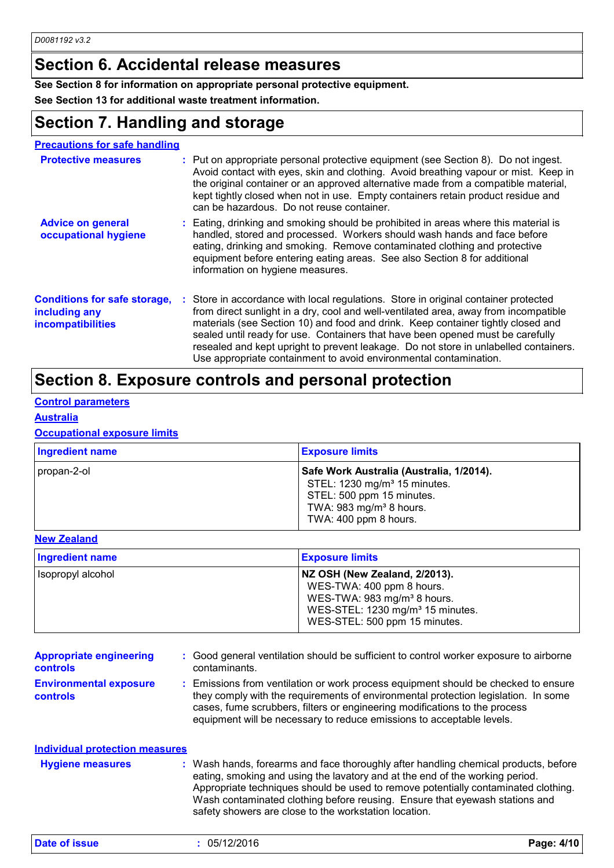### **Section 6. Accidental release measures**

### **See Section 8 for information on appropriate personal protective equipment.**

**See Section 13 for additional waste treatment information.**

### **Section 7. Handling and storage**

| <b>Precautions for safe handling</b>                                             |                                                                                                                                                                                                                                                                                                                                                                                                                                                                                                                |
|----------------------------------------------------------------------------------|----------------------------------------------------------------------------------------------------------------------------------------------------------------------------------------------------------------------------------------------------------------------------------------------------------------------------------------------------------------------------------------------------------------------------------------------------------------------------------------------------------------|
| <b>Protective measures</b>                                                       | : Put on appropriate personal protective equipment (see Section 8). Do not ingest.<br>Avoid contact with eyes, skin and clothing. Avoid breathing vapour or mist. Keep in<br>the original container or an approved alternative made from a compatible material,<br>kept tightly closed when not in use. Empty containers retain product residue and<br>can be hazardous. Do not reuse container.                                                                                                               |
| <b>Advice on general</b><br>occupational hygiene                                 | : Eating, drinking and smoking should be prohibited in areas where this material is<br>handled, stored and processed. Workers should wash hands and face before<br>eating, drinking and smoking. Remove contaminated clothing and protective<br>equipment before entering eating areas. See also Section 8 for additional<br>information on hygiene measures.                                                                                                                                                  |
| <b>Conditions for safe storage,</b><br>including any<br><b>incompatibilities</b> | : Store in accordance with local regulations. Store in original container protected<br>from direct sunlight in a dry, cool and well-ventilated area, away from incompatible<br>materials (see Section 10) and food and drink. Keep container tightly closed and<br>sealed until ready for use. Containers that have been opened must be carefully<br>resealed and kept upright to prevent leakage. Do not store in unlabelled containers.<br>Use appropriate containment to avoid environmental contamination. |

### **Section 8. Exposure controls and personal protection**

### **Control parameters**

### **Australia**

#### **Occupational exposure limits**

| Ingredient name | <b>Exposure limits</b>                                                                                                                                                            |
|-----------------|-----------------------------------------------------------------------------------------------------------------------------------------------------------------------------------|
| propan-2-ol     | Safe Work Australia (Australia, 1/2014).<br>STEL: 1230 mg/m <sup>3</sup> 15 minutes.<br>STEL: 500 ppm 15 minutes.<br>TWA: 983 mg/m <sup>3</sup> 8 hours.<br>TWA: 400 ppm 8 hours. |

#### **New Zealand**

| Ingredient name   | <b>Exposure limits</b>                                                                                                                                                                 |
|-------------------|----------------------------------------------------------------------------------------------------------------------------------------------------------------------------------------|
| Isopropyl alcohol | NZ OSH (New Zealand, 2/2013).<br>WES-TWA: 400 ppm 8 hours.<br>WES-TWA: 983 mg/m <sup>3</sup> 8 hours.<br>WES-STEL: 1230 mg/m <sup>3</sup> 15 minutes.<br>WES-STEL: 500 ppm 15 minutes. |

| <b>Appropriate engineering</b><br><b>controls</b> | : Good general ventilation should be sufficient to control worker exposure to airborne<br>contaminants.                                                                                                                                                                                                                         |
|---------------------------------------------------|---------------------------------------------------------------------------------------------------------------------------------------------------------------------------------------------------------------------------------------------------------------------------------------------------------------------------------|
| <b>Environmental exposure</b><br><b>controls</b>  | : Emissions from ventilation or work process equipment should be checked to ensure<br>they comply with the requirements of environmental protection legislation. In some<br>cases, fume scrubbers, filters or engineering modifications to the process<br>equipment will be necessary to reduce emissions to acceptable levels. |

| Individual protection measures |                                                                                                                                                                                                                                                                                                                                                                                                   |
|--------------------------------|---------------------------------------------------------------------------------------------------------------------------------------------------------------------------------------------------------------------------------------------------------------------------------------------------------------------------------------------------------------------------------------------------|
| <b>Hygiene measures</b>        | : Wash hands, forearms and face thoroughly after handling chemical products, before<br>eating, smoking and using the lavatory and at the end of the working period.<br>Appropriate techniques should be used to remove potentially contaminated clothing.<br>Wash contaminated clothing before reusing. Ensure that eyewash stations and<br>safety showers are close to the workstation location. |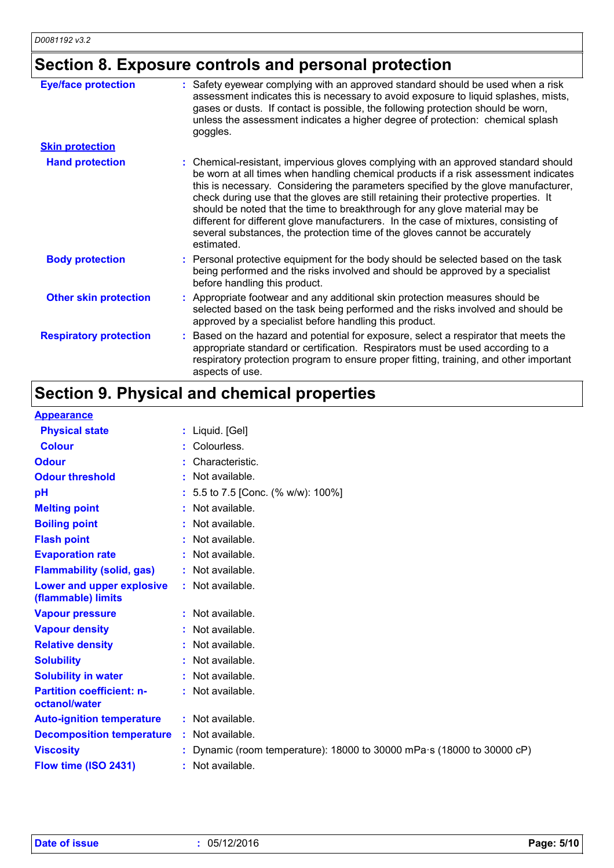### **Section 8. Exposure controls and personal protection**

| <b>Eye/face protection</b>    | Safety eyewear complying with an approved standard should be used when a risk<br>÷.<br>assessment indicates this is necessary to avoid exposure to liquid splashes, mists,<br>gases or dusts. If contact is possible, the following protection should be worn,<br>unless the assessment indicates a higher degree of protection: chemical splash<br>goggles.                                                                                                                                                                                                                                                              |
|-------------------------------|---------------------------------------------------------------------------------------------------------------------------------------------------------------------------------------------------------------------------------------------------------------------------------------------------------------------------------------------------------------------------------------------------------------------------------------------------------------------------------------------------------------------------------------------------------------------------------------------------------------------------|
| <b>Skin protection</b>        |                                                                                                                                                                                                                                                                                                                                                                                                                                                                                                                                                                                                                           |
| <b>Hand protection</b>        | : Chemical-resistant, impervious gloves complying with an approved standard should<br>be worn at all times when handling chemical products if a risk assessment indicates<br>this is necessary. Considering the parameters specified by the glove manufacturer,<br>check during use that the gloves are still retaining their protective properties. It<br>should be noted that the time to breakthrough for any glove material may be<br>different for different glove manufacturers. In the case of mixtures, consisting of<br>several substances, the protection time of the gloves cannot be accurately<br>estimated. |
| <b>Body protection</b>        | : Personal protective equipment for the body should be selected based on the task<br>being performed and the risks involved and should be approved by a specialist<br>before handling this product.                                                                                                                                                                                                                                                                                                                                                                                                                       |
| <b>Other skin protection</b>  | : Appropriate footwear and any additional skin protection measures should be<br>selected based on the task being performed and the risks involved and should be<br>approved by a specialist before handling this product.                                                                                                                                                                                                                                                                                                                                                                                                 |
| <b>Respiratory protection</b> | : Based on the hazard and potential for exposure, select a respirator that meets the<br>appropriate standard or certification. Respirators must be used according to a<br>respiratory protection program to ensure proper fitting, training, and other important<br>aspects of use.                                                                                                                                                                                                                                                                                                                                       |

## **Section 9. Physical and chemical properties**

### **Appearance**

| <b>Physical state</b>                             | : Liquid. [Gel]                                                                  |
|---------------------------------------------------|----------------------------------------------------------------------------------|
| <b>Colour</b>                                     | Colourless.                                                                      |
| <b>Odour</b>                                      | Characteristic.                                                                  |
| <b>Odour threshold</b>                            | Not available.                                                                   |
| pH                                                | : 5.5 to 7.5 [Conc. (% w/w): 100%]                                               |
| <b>Melting point</b>                              | Not available.                                                                   |
| <b>Boiling point</b>                              | Not available.                                                                   |
| <b>Flash point</b>                                | Not available.                                                                   |
| <b>Evaporation rate</b>                           | Not available.                                                                   |
| <b>Flammability (solid, gas)</b>                  | : Not available.                                                                 |
| Lower and upper explosive<br>(flammable) limits   | : Not available.                                                                 |
| <b>Vapour pressure</b>                            | : Not available.                                                                 |
| <b>Vapour density</b>                             | : Not available.                                                                 |
| <b>Relative density</b>                           | Not available.                                                                   |
| <b>Solubility</b>                                 | Not available.                                                                   |
| <b>Solubility in water</b>                        | Not available.                                                                   |
| <b>Partition coefficient: n-</b><br>octanol/water | : Not available.                                                                 |
| <b>Auto-ignition temperature</b>                  | : Not available.                                                                 |
| <b>Decomposition temperature</b>                  | : Not available.                                                                 |
| <b>Viscosity</b>                                  | : Dynamic (room temperature): $18000$ to 30000 mPa $\cdot$ s (18000 to 30000 cP) |
| Flow time (ISO 2431)                              | : Not available.                                                                 |
|                                                   |                                                                                  |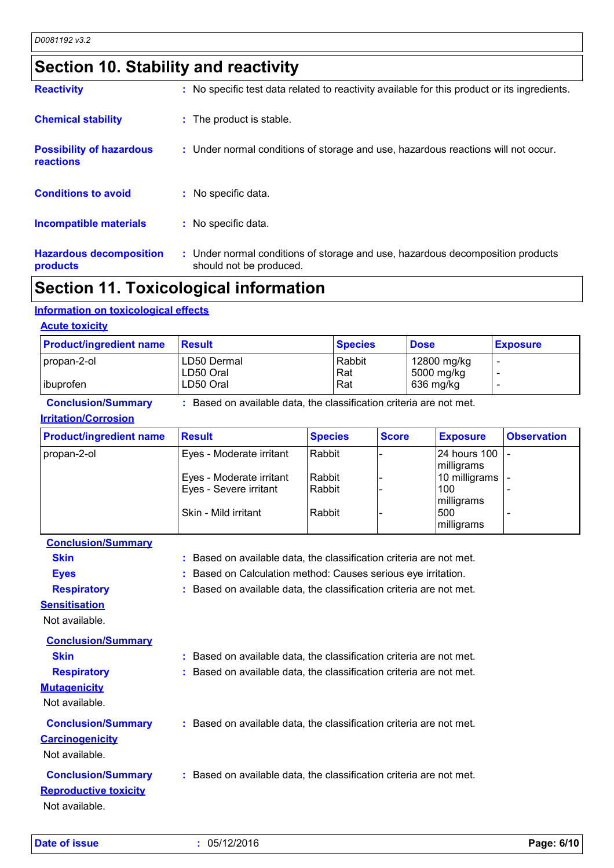# **Section 10. Stability and reactivity**

| <b>Reactivity</b>                            | : No specific test data related to reactivity available for this product or its ingredients.              |
|----------------------------------------------|-----------------------------------------------------------------------------------------------------------|
| <b>Chemical stability</b>                    | : The product is stable.                                                                                  |
| <b>Possibility of hazardous</b><br>reactions | : Under normal conditions of storage and use, hazardous reactions will not occur.                         |
| <b>Conditions to avoid</b>                   | : No specific data.                                                                                       |
| <b>Incompatible materials</b>                | : No specific data.                                                                                       |
| <b>Hazardous decomposition</b><br>products   | : Under normal conditions of storage and use, hazardous decomposition products<br>should not be produced. |

### **Section 11. Toxicological information**

### **Information on toxicological effects**

| <b>Product/ingredient name</b> | <b>Result</b>                                                       |                | <b>Species</b> |              | <b>Dose</b> |                 | <b>Exposure</b>          |
|--------------------------------|---------------------------------------------------------------------|----------------|----------------|--------------|-------------|-----------------|--------------------------|
| propan-2-ol                    | LD50 Dermal                                                         |                | Rabbit         |              |             | 12800 mg/kg     |                          |
|                                | LD50 Oral                                                           |                | Rat            |              |             | 5000 mg/kg      | $\overline{\phantom{0}}$ |
| ibuprofen                      | LD50 Oral                                                           |                | Rat            |              |             | 636 mg/kg       |                          |
| <b>Conclusion/Summary</b>      | : Based on available data, the classification criteria are not met. |                |                |              |             |                 |                          |
| <b>Irritation/Corrosion</b>    |                                                                     |                |                |              |             |                 |                          |
| <b>Product/ingredient name</b> | <b>Result</b>                                                       | <b>Species</b> |                | <b>Score</b> |             | <b>Exposure</b> | <b>Observation</b>       |
| propan-2-ol                    | Eyes - Moderate irritant                                            | Rabbit         |                |              |             | 24 hours 100    |                          |
|                                |                                                                     |                |                |              |             | milligrams      |                          |
|                                | Eyes - Moderate irritant                                            | Rabbit         |                |              |             | 10 milligrams   |                          |
|                                |                                                                     |                |                |              |             |                 |                          |
|                                | Eyes - Severe irritant                                              | Rabbit         |                |              |             | 100             |                          |
|                                |                                                                     |                |                |              |             | milligrams      |                          |
|                                | Skin - Mild irritant                                                | Rabbit         |                |              |             | 500             |                          |

| <b>Eyes</b>                  | : Based on Calculation method: Causes serious eye irritation.       |
|------------------------------|---------------------------------------------------------------------|
| <b>Respiratory</b>           | : Based on available data, the classification criteria are not met. |
| <b>Sensitisation</b>         |                                                                     |
| Not available.               |                                                                     |
| <b>Conclusion/Summary</b>    |                                                                     |
| <b>Skin</b>                  | : Based on available data, the classification criteria are not met. |
| <b>Respiratory</b>           | : Based on available data, the classification criteria are not met. |
| <b>Mutagenicity</b>          |                                                                     |
| Not available.               |                                                                     |
| <b>Conclusion/Summary</b>    | : Based on available data, the classification criteria are not met. |
| <b>Carcinogenicity</b>       |                                                                     |
| Not available.               |                                                                     |
| <b>Conclusion/Summary</b>    | : Based on available data, the classification criteria are not met. |
| <b>Reproductive toxicity</b> |                                                                     |
|                              |                                                                     |
| Not available.               |                                                                     |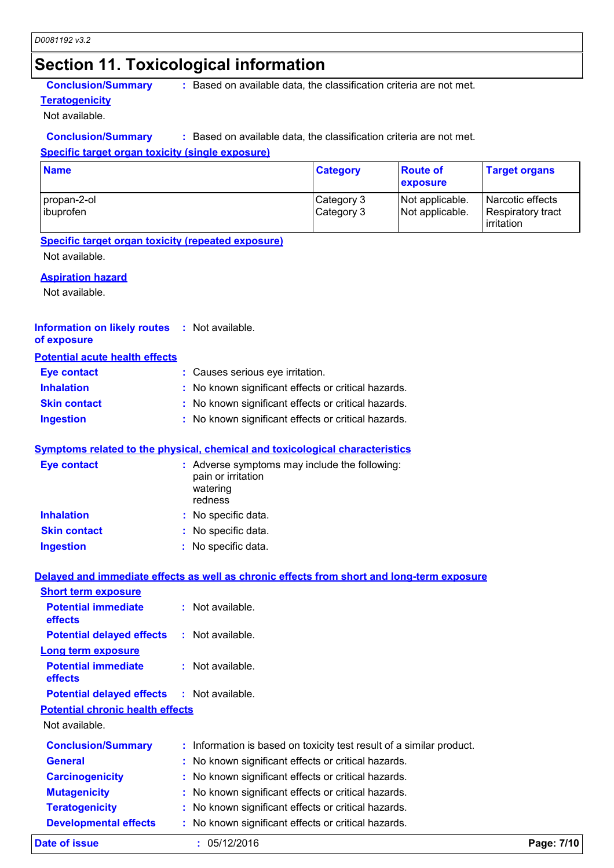### **Section 11. Toxicological information**

**Teratogenicity**

**Conclusion/Summary :** Based on available data, the classification criteria are not met.

Not available.

#### **Conclusion/Summary :** Based on available data, the classification criteria are not met.

### **Specific target organ toxicity (single exposure)**

| <b>Name</b>              | <b>Category</b>          | <b>Route of</b><br>exposure        | <b>Target organs</b>                                |
|--------------------------|--------------------------|------------------------------------|-----------------------------------------------------|
| propan-2-ol<br>ibuprofen | Category 3<br>Category 3 | Not applicable.<br>Not applicable. | Narcotic effects<br>Respiratory tract<br>irritation |

#### **Specific target organ toxicity (repeated exposure)**

Not available.

#### **Aspiration hazard**

Not available.

#### **Information on likely routes :** Not available. **of exposure**

| <b>Potential acute health effects</b> |                                                     |
|---------------------------------------|-----------------------------------------------------|
| <b>Eye contact</b>                    | : Causes serious eye irritation.                    |
| <b>Inhalation</b>                     | : No known significant effects or critical hazards. |
| <b>Skin contact</b>                   | : No known significant effects or critical hazards. |
| <b>Ingestion</b>                      | : No known significant effects or critical hazards. |

### **Symptoms related to the physical, chemical and toxicological characteristics**

| <b>Eye contact</b>  | : Adverse symptoms may include the following:<br>pain or irritation<br>watering<br>redness |
|---------------------|--------------------------------------------------------------------------------------------|
| <b>Inhalation</b>   | : No specific data.                                                                        |
| <b>Skin contact</b> | : No specific data.                                                                        |
| <b>Ingestion</b>    | : No specific data.                                                                        |

### **Delayed and immediate effects as well as chronic effects from short and long-term exposure Short term exposure**

| Date of issue                                     | : 05/12/2016                                                         | Page: 7/10 |
|---------------------------------------------------|----------------------------------------------------------------------|------------|
| <b>Developmental effects</b>                      | : No known significant effects or critical hazards.                  |            |
| <b>Teratogenicity</b>                             | : No known significant effects or critical hazards.                  |            |
| <b>Mutagenicity</b>                               | : No known significant effects or critical hazards.                  |            |
| <b>Carcinogenicity</b>                            | : No known significant effects or critical hazards.                  |            |
| <b>General</b>                                    | : No known significant effects or critical hazards.                  |            |
| <b>Conclusion/Summary</b>                         | : Information is based on toxicity test result of a similar product. |            |
| Not available.                                    |                                                                      |            |
| <b>Potential chronic health effects</b>           |                                                                      |            |
| <b>Potential delayed effects : Not available.</b> |                                                                      |            |
| <b>Potential immediate</b><br><b>effects</b>      | $:$ Not available.                                                   |            |
| <b>Long term exposure</b>                         |                                                                      |            |
| <b>Potential delayed effects</b>                  | : Not available.                                                     |            |
| <b>Potential immediate</b><br><b>effects</b>      | $:$ Not available.                                                   |            |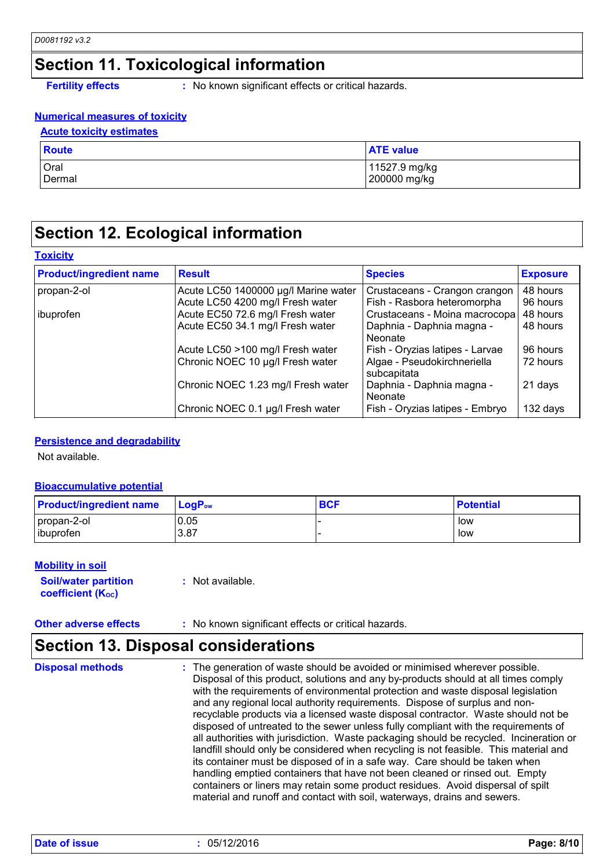### **Section 11. Toxicological information**

**Fertility effects :** No known significant effects or critical hazards.

### **Numerical measures of toxicity**

#### **Acute toxicity estimates**

| <b>Route</b>    | <b>ATE value</b> |
|-----------------|------------------|
| <b>Oral</b>     | 11527.9 mg/kg    |
| <b>I</b> Dermal | 200000 mg/kg     |

### **Section 12. Ecological information**

#### **Toxicity**

| <b>Product/ingredient name</b> | <b>Result</b>                        | <b>Species</b>                             | <b>Exposure</b> |
|--------------------------------|--------------------------------------|--------------------------------------------|-----------------|
| propan-2-ol                    | Acute LC50 1400000 µg/l Marine water | Crustaceans - Crangon crangon              | 48 hours        |
|                                | Acute LC50 4200 mg/l Fresh water     | Fish - Rasbora heteromorpha                | 96 hours        |
| ibuprofen                      | Acute EC50 72.6 mg/l Fresh water     | Crustaceans - Moina macrocopa              | 48 hours        |
|                                | Acute EC50 34.1 mg/l Fresh water     | Daphnia - Daphnia magna -<br>Neonate       | 48 hours        |
|                                | Acute LC50 >100 mg/l Fresh water     | Fish - Oryzias latipes - Larvae            | 96 hours        |
|                                | Chronic NOEC 10 µg/l Fresh water     | Algae - Pseudokirchneriella<br>subcapitata | 72 hours        |
|                                | Chronic NOEC 1.23 mg/l Fresh water   | Daphnia - Daphnia magna -<br>Neonate       | 21 days         |
|                                | Chronic NOEC 0.1 µg/l Fresh water    | Fish - Oryzias latipes - Embryo            | 132 days        |

#### **Persistence and degradability**

Not available.

#### **Bioaccumulative potential**

| <b>Product/ingredient name</b> | $\mathsf{LocP}_\mathsf{ow}$ | <b>BCF</b> | <b>Potential</b> |
|--------------------------------|-----------------------------|------------|------------------|
| propan-2-ol                    | 0.05                        |            | low              |
| ibuprofen                      | 3.87                        |            | low              |

#### **Mobility in soil**

**Soil/water partition coefficient (Koc)** 

**:** Not available.

**Other adverse effects** : No known significant effects or critical hazards.

### **Section 13. Disposal considerations**

The generation of waste should be avoided or minimised wherever possible. Disposal of this product, solutions and any by-products should at all times comply with the requirements of environmental protection and waste disposal legislation and any regional local authority requirements. Dispose of surplus and nonrecyclable products via a licensed waste disposal contractor. Waste should not be disposed of untreated to the sewer unless fully compliant with the requirements of all authorities with jurisdiction. Waste packaging should be recycled. Incineration or landfill should only be considered when recycling is not feasible. This material and its container must be disposed of in a safe way. Care should be taken when handling emptied containers that have not been cleaned or rinsed out. Empty containers or liners may retain some product residues. Avoid dispersal of spilt material and runoff and contact with soil, waterways, drains and sewers. **Disposal methods :**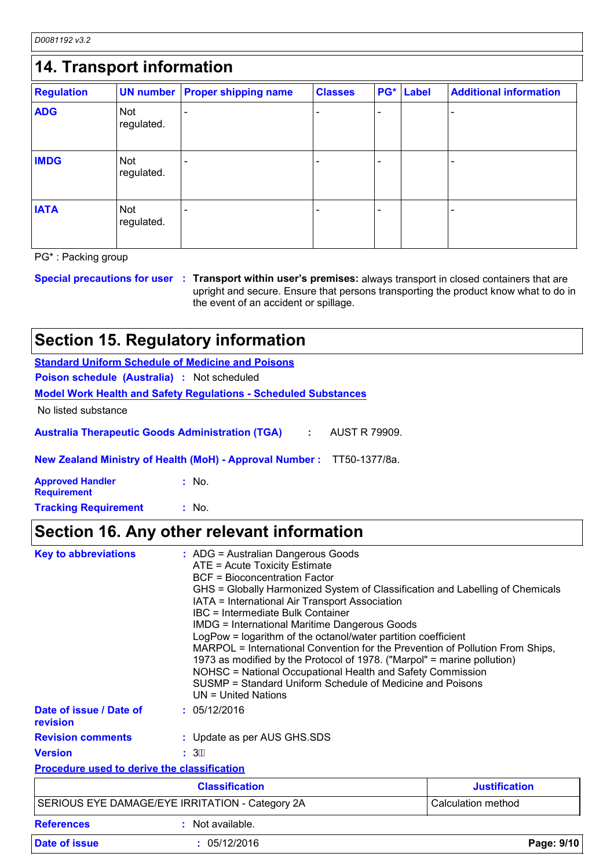*D0081192 v3.2*

| 14. Transport information |                          |                             |                |                |       |                               |
|---------------------------|--------------------------|-----------------------------|----------------|----------------|-------|-------------------------------|
| <b>Regulation</b>         | <b>UN number</b>         | <b>Proper shipping name</b> | <b>Classes</b> | PG*            | Label | <b>Additional information</b> |
| <b>ADG</b>                | <b>Not</b><br>regulated. |                             |                | $\blacksquare$ |       |                               |
| <b>IMDG</b>               | <b>Not</b><br>regulated. |                             |                |                |       |                               |
| <b>IATA</b>               | Not<br>regulated.        |                             |                |                |       |                               |

PG\* : Packing group

**Special precautions for user Transport within user's premises:** always transport in closed containers that are **:** upright and secure. Ensure that persons transporting the product know what to do in the event of an accident or spillage.

## **Section 15. Regulatory information**

|                                               | <b>Standard Uniform Schedule of Medicine and Poisons</b>                                                                                                                                                                                                                                                                                                                                                                                                                                                                                                                                                                                                                                                                            |
|-----------------------------------------------|-------------------------------------------------------------------------------------------------------------------------------------------------------------------------------------------------------------------------------------------------------------------------------------------------------------------------------------------------------------------------------------------------------------------------------------------------------------------------------------------------------------------------------------------------------------------------------------------------------------------------------------------------------------------------------------------------------------------------------------|
| Poison schedule (Australia) : Not scheduled   |                                                                                                                                                                                                                                                                                                                                                                                                                                                                                                                                                                                                                                                                                                                                     |
|                                               | <b>Model Work Health and Safety Regulations - Scheduled Substances</b>                                                                                                                                                                                                                                                                                                                                                                                                                                                                                                                                                                                                                                                              |
| No listed substance                           |                                                                                                                                                                                                                                                                                                                                                                                                                                                                                                                                                                                                                                                                                                                                     |
|                                               | <b>Australia Therapeutic Goods Administration (TGA)</b><br>AUST R 79909.<br>÷.                                                                                                                                                                                                                                                                                                                                                                                                                                                                                                                                                                                                                                                      |
|                                               | New Zealand Ministry of Health (MoH) - Approval Number: TT50-1377/8a.                                                                                                                                                                                                                                                                                                                                                                                                                                                                                                                                                                                                                                                               |
| <b>Approved Handler</b><br><b>Requirement</b> | : No.                                                                                                                                                                                                                                                                                                                                                                                                                                                                                                                                                                                                                                                                                                                               |
| <b>Tracking Requirement</b>                   | : No.                                                                                                                                                                                                                                                                                                                                                                                                                                                                                                                                                                                                                                                                                                                               |
|                                               | Section 16. Any other relevant information                                                                                                                                                                                                                                                                                                                                                                                                                                                                                                                                                                                                                                                                                          |
| <b>Key to abbreviations</b>                   | : ADG = Australian Dangerous Goods<br>ATE = Acute Toxicity Estimate<br><b>BCF</b> = Bioconcentration Factor<br>GHS = Globally Harmonized System of Classification and Labelling of Chemicals<br>IATA = International Air Transport Association<br><b>IBC</b> = Intermediate Bulk Container<br><b>IMDG = International Maritime Dangerous Goods</b><br>LogPow = logarithm of the octanol/water partition coefficient<br>MARPOL = International Convention for the Prevention of Pollution From Ships,<br>1973 as modified by the Protocol of 1978. ("Marpol" = marine pollution)<br>NOHSC = National Occupational Health and Safety Commission<br>SUSMP = Standard Uniform Schedule of Medicine and Poisons<br>$UN = United Nations$ |
| Date of issue / Date of                       | : 05/12/2016                                                                                                                                                                                                                                                                                                                                                                                                                                                                                                                                                                                                                                                                                                                        |

**Revision comments :** Update as per AUS GHS.SDS

**Version :**  $: 3E$ 

**revision**

**Procedure used to derive the classification**

|                                                 | <b>Classification</b> | <b>Justification</b> |  |
|-------------------------------------------------|-----------------------|----------------------|--|
| SERIOUS EYE DAMAGE/EYE IRRITATION - Category 2A |                       | Calculation method   |  |
| <b>References</b>                               | Not available.        |                      |  |

| <b>Date of issue</b> | /12/2016<br>05/ | Page: 9/10 |  |
|----------------------|-----------------|------------|--|
|                      |                 |            |  |